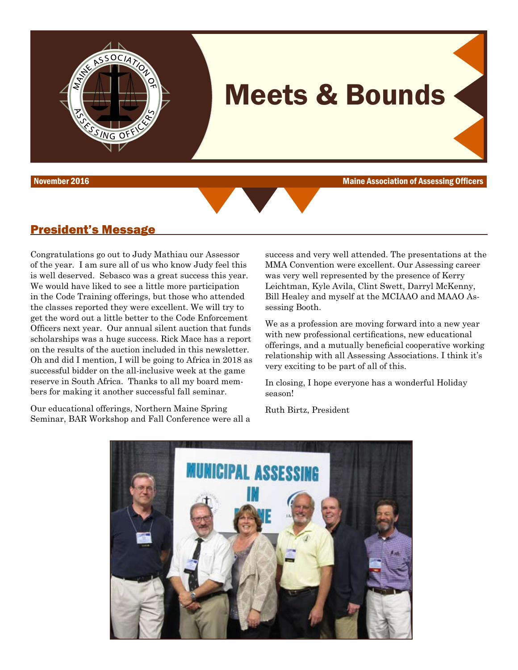

November 2016 Maine Association of Assessing Officers



#### President's Message

Congratulations go out to Judy Mathiau our Assessor of the year. I am sure all of us who know Judy feel this is well deserved. Sebasco was a great success this year. We would have liked to see a little more participation in the Code Training offerings, but those who attended the classes reported they were excellent. We will try to get the word out a little better to the Code Enforcement Officers next year. Our annual silent auction that funds scholarships was a huge success. Rick Mace has a report on the results of the auction included in this newsletter. Oh and did I mention, I will be going to Africa in 2018 as successful bidder on the all-inclusive week at the game reserve in South Africa. Thanks to all my board members for making it another successful fall seminar.

OCIATIO

Our educational offerings, Northern Maine Spring Seminar, BAR Workshop and Fall Conference were all a

success and very well attended. The presentations at the MMA Convention were excellent. Our Assessing career was very well represented by the presence of Kerry Leichtman, Kyle Avila, Clint Swett, Darryl McKenny, Bill Healey and myself at the MCIAAO and MAAO Assessing Booth.

We as a profession are moving forward into a new year with new professional certifications, new educational offerings, and a mutually beneficial cooperative working relationship with all Assessing Associations. I think it's very exciting to be part of all of this.

In closing, I hope everyone has a wonderful Holiday season!

Ruth Birtz, President

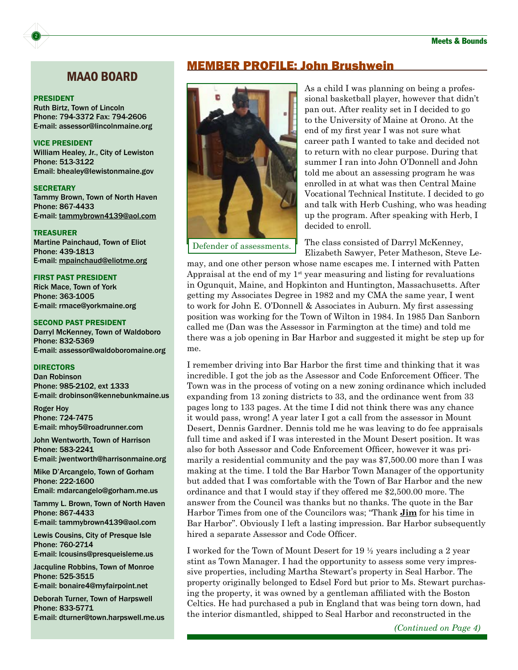#### MAAO BOARD

#### PRESIDENT

2

Ruth Birtz, Town of Lincoln Phone: 794-3372 Fax: 794-2606 E-mail: [assessor@lincolnmaine.org](mailto:assessor@lincolnmaine.org)

#### VICE PRESIDENT

William Healey, Jr., City of Lewiston Phone: 513-3122 Email: [bhealey@lewistonmaine.gov](mailto:bhealey@lewistonmaine.gov)

**SECRETARY** Tammy Brown, Town of North Haven Phone: 867-4433 E-mail: [tammybrown4139@aol.com](mailto:tammybrown4139@aol.com)

TREASURER Martine Painchaud, Town of Eliot Phone: 439-1813 E-mail: [mpainchaud@eliotme.org](mailto:mpainchaud@eliotme.org)

#### FIRST PAST PRESIDENT

Rick Mace, Town of York Phone: 363-1005 E-mail: [rmace@yorkmaine.org](mailto:rmace@yorkmaine.org)

#### SECOND PAST PRESIDENT

Darryl McKenney, Town of Waldoboro Phone: 832-5369 E-mail: [assessor@waldoboromaine.org](mailto:assessor@waldoboromaine.org)

#### DIRECTORS

Dan Robinson Phone: 985-2102, ext 1333 E-mail: [drobinson@kennebunkmaine.us](mailto:drobinson@kennebunkmaine.us)

Roger Hoy Phone: 724-7475 E-mail: [mhoy5@roadrunner.com](mailto:mhoy5@roadrunner.com)

John Wentworth, Town of Harrison Phone: 583-2241 E-mail: [jwentworth@harrisonmaine.org](mailto:jwentworth@harrisonmaine.org)

Mike D'Arcangelo, Town of Gorham Phone: 222-1600 Email: [mdarcangelo@gorham.me.us](mailto:mdarcangelo@gorham.me.us)

Tammy L. Brown, Town of North Haven Phone: 867-4433 E-mail: [tammybrown4139@aol.com](mailto:tammybrown4139@aol.com)

Lewis Cousins, City of Presque Isle Phone: 760-2714 E-mail: [lcousins@presqueisleme.us](mailto:lcousins@presqueisleme.us)

Jacquline Robbins, Town of Monroe Phone: 525-3515 E-mail: [bonaire4@myfairpoint.net](mailto:bonaire4@myfairpoint.net)

Deborah Turner, Town of Harpswell Phone: 833-5771 E-mail: [dturner@town.harpswell.me.us](mailto:dturner@town.harpswell.me.us)

#### MEMBER PROFILE: John Brushwein



As a child I was planning on being a professional basketball player, however that didn't pan out. After reality set in I decided to go to the University of Maine at Orono. At the end of my first year I was not sure what career path I wanted to take and decided not to return with no clear purpose. During that summer I ran into John O'Donnell and John told me about an assessing program he was enrolled in at what was then Central Maine Vocational Technical Institute. I decided to go and talk with Herb Cushing, who was heading up the program. After speaking with Herb, I decided to enroll.

The class consisted of Darryl McKenney, Elizabeth Sawyer, Peter Matheson, Steve Le-

may, and one other person whose name escapes me. I interned with Patten Appraisal at the end of my  $1<sup>st</sup>$  year measuring and listing for revaluations in Ogunquit, Maine, and Hopkinton and Huntington, Massachusetts. After getting my Associates Degree in 1982 and my CMA the same year, I went to work for John E. O'Donnell & Associates in Auburn. My first assessing position was working for the Town of Wilton in 1984. In 1985 Dan Sanborn called me (Dan was the Assessor in Farmington at the time) and told me there was a job opening in Bar Harbor and suggested it might be step up for me.

I remember driving into Bar Harbor the first time and thinking that it was incredible. I got the job as the Assessor and Code Enforcement Officer. The Town was in the process of voting on a new zoning ordinance which included expanding from 13 zoning districts to 33, and the ordinance went from 33 pages long to 133 pages. At the time I did not think there was any chance it would pass, wrong! A year later I got a call from the assessor in Mount Desert, Dennis Gardner. Dennis told me he was leaving to do fee appraisals full time and asked if I was interested in the Mount Desert position. It was also for both Assessor and Code Enforcement Officer, however it was primarily a residential community and the pay was \$7,500.00 more than I was making at the time. I told the Bar Harbor Town Manager of the opportunity but added that I was comfortable with the Town of Bar Harbor and the new ordinance and that I would stay if they offered me \$2,500.00 more. The answer from the Council was thanks but no thanks. The quote in the Bar Harbor Times from one of the Councilors was; "Thank **Jim** for his time in Bar Harbor". Obviously I left a lasting impression. Bar Harbor subsequently hired a separate Assessor and Code Officer.

I worked for the Town of Mount Desert for 19 ½ years including a 2 year stint as Town Manager. I had the opportunity to assess some very impressive properties, including Martha Stewart's property in Seal Harbor. The property originally belonged to Edsel Ford but prior to Ms. Stewart purchasing the property, it was owned by a gentleman affiliated with the Boston Celtics. He had purchased a pub in England that was being torn down, had the interior dismantled, shipped to Seal Harbor and reconstructed in the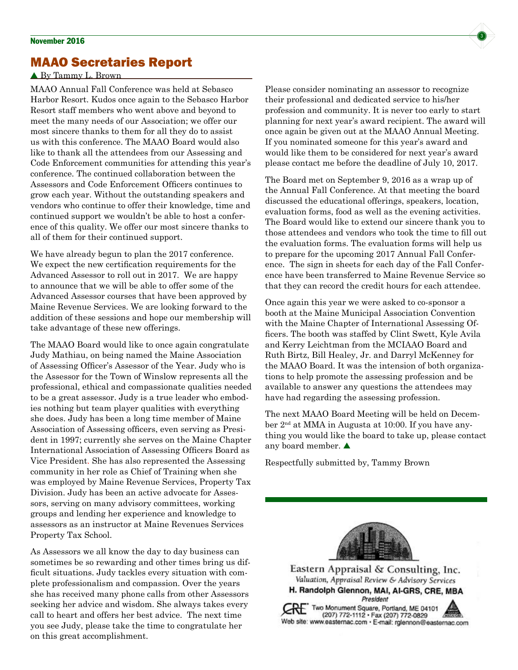## MAAO Secretaries Report

#### By Tammy L. Brown

MAAO Annual Fall Conference was held at Sebasco Harbor Resort. Kudos once again to the Sebasco Harbor Resort staff members who went above and beyond to meet the many needs of our Association; we offer our most sincere thanks to them for all they do to assist us with this conference. The MAAO Board would also like to thank all the attendees from our Assessing and Code Enforcement communities for attending this year's conference. The continued collaboration between the Assessors and Code Enforcement Officers continues to grow each year. Without the outstanding speakers and vendors who continue to offer their knowledge, time and continued support we wouldn't be able to host a conference of this quality. We offer our most sincere thanks to all of them for their continued support.

We have already begun to plan the 2017 conference. We expect the new certification requirements for the Advanced Assessor to roll out in 2017. We are happy to announce that we will be able to offer some of the Advanced Assessor courses that have been approved by Maine Revenue Services. We are looking forward to the addition of these sessions and hope our membership will take advantage of these new offerings.

The MAAO Board would like to once again congratulate Judy Mathiau, on being named the Maine Association of Assessing Officer's Assessor of the Year. Judy who is the Assessor for the Town of Winslow represents all the professional, ethical and compassionate qualities needed to be a great assessor. Judy is a true leader who embodies nothing but team player qualities with everything she does. Judy has been a long time member of Maine Association of Assessing officers, even serving as President in 1997; currently she serves on the Maine Chapter International Association of Assessing Officers Board as Vice President. She has also represented the Assessing community in her role as Chief of Training when she was employed by Maine Revenue Services, Property Tax Division. Judy has been an active advocate for Assessors, serving on many advisory committees, working groups and lending her experience and knowledge to assessors as an instructor at Maine Revenues Services Property Tax School.

As Assessors we all know the day to day business can sometimes be so rewarding and other times bring us difficult situations. Judy tackles every situation with complete professionalism and compassion. Over the years she has received many phone calls from other Assessors seeking her advice and wisdom. She always takes every call to heart and offers her best advice. The next time you see Judy, please take the time to congratulate her on this great accomplishment.

Please consider nominating an assessor to recognize their professional and dedicated service to his/her profession and community. It is never too early to start planning for next year's award recipient. The award will once again be given out at the MAAO Annual Meeting. If you nominated someone for this year's award and would like them to be considered for next year's award please contact me before the deadline of July 10, 2017.

The Board met on September 9, 2016 as a wrap up of the Annual Fall Conference. At that meeting the board discussed the educational offerings, speakers, location, evaluation forms, food as well as the evening activities. The Board would like to extend our sincere thank you to those attendees and vendors who took the time to fill out the evaluation forms. The evaluation forms will help us to prepare for the upcoming 2017 Annual Fall Conference. The sign in sheets for each day of the Fall Conference have been transferred to Maine Revenue Service so that they can record the credit hours for each attendee.

Once again this year we were asked to co-sponsor a booth at the Maine Municipal Association Convention with the Maine Chapter of International Assessing Officers. The booth was staffed by Clint Swett, Kyle Avila and Kerry Leichtman from the MCIAAO Board and Ruth Birtz, Bill Healey, Jr. and Darryl McKenney for the MAAO Board. It was the intension of both organizations to help promote the assessing profession and be available to answer any questions the attendees may have had regarding the assessing profession.

The next MAAO Board Meeting will be held on December 2nd at MMA in Augusta at 10:00. If you have anything you would like the board to take up, please contact any board member.

Respectfully submitted by, Tammy Brown



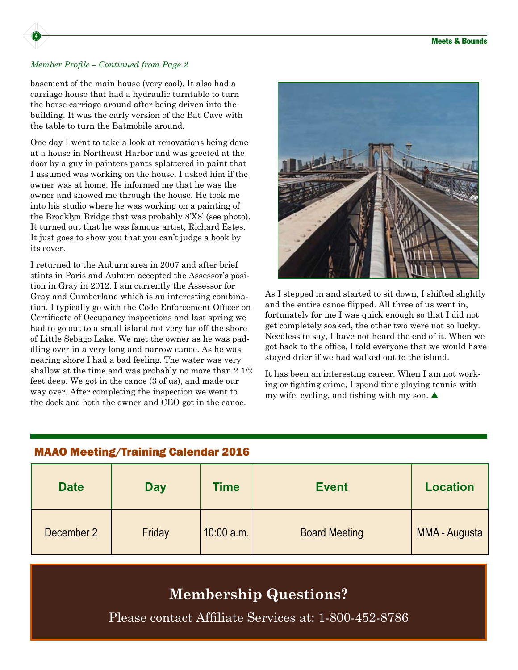

#### *Member Profile – Continued from Page 2*

basement of the main house (very cool). It also had a carriage house that had a hydraulic turntable to turn the horse carriage around after being driven into the building. It was the early version of the Bat Cave with the table to turn the Batmobile around.

One day I went to take a look at renovations being done at a house in Northeast Harbor and was greeted at the door by a guy in painters pants splattered in paint that I assumed was working on the house. I asked him if the owner was at home. He informed me that he was the owner and showed me through the house. He took me into his studio where he was working on a painting of the Brooklyn Bridge that was probably 8'X8' (see photo). It turned out that he was famous artist, Richard Estes. It just goes to show you that you can't judge a book by its cover.

I returned to the Auburn area in 2007 and after brief stints in Paris and Auburn accepted the Assessor's position in Gray in 2012. I am currently the Assessor for Gray and Cumberland which is an interesting combination. I typically go with the Code Enforcement Officer on Certificate of Occupancy inspections and last spring we had to go out to a small island not very far off the shore of Little Sebago Lake. We met the owner as he was paddling over in a very long and narrow canoe. As he was nearing shore I had a bad feeling. The water was very shallow at the time and was probably no more than 2 1/2 feet deep. We got in the canoe (3 of us), and made our way over. After completing the inspection we went to the dock and both the owner and CEO got in the canoe.



As I stepped in and started to sit down, I shifted slightly and the entire canoe flipped. All three of us went in, fortunately for me I was quick enough so that I did not get completely soaked, the other two were not so lucky. Needless to say, I have not heard the end of it. When we got back to the office, I told everyone that we would have stayed drier if we had walked out to the island.

It has been an interesting career. When I am not working or fighting crime, I spend time playing tennis with my wife, cycling, and fishing with my son.  $\blacktriangle$ 

# **Date Day Time Event Location** December 2 | Friday | 10:00 a.m. | Board Meeting | MMA - Augusta

#### MAAO Meeting/Training Calendar 2016

# **Membership Questions?**

Please contact Affiliate Services at: 1-800-452-8786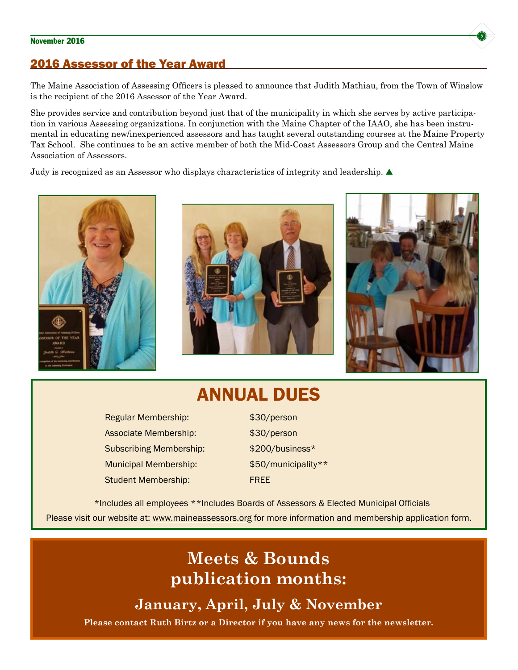#### November 2016 **State of the United States and States and States and States and States and States and States and S**

#### 2016 Assessor of the Year Award

The Maine Association of Assessing Officers is pleased to announce that Judith Mathiau, from the Town of Winslow is the recipient of the 2016 Assessor of the Year Award.

She provides service and contribution beyond just that of the municipality in which she serves by active participation in various Assessing organizations. In conjunction with the Maine Chapter of the IAAO, she has been instrumental in educating new/inexperienced assessors and has taught several outstanding courses at the Maine Property Tax School. She continues to be an active member of both the Mid-Coast Assessors Group and the Central Maine Association of Assessors.

Judy is recognized as an Assessor who displays characteristics of integrity and leadership.  $\blacktriangle$ 







# ANNUAL DUES

Regular Membership: \$30/person Associate Membership:  $$30/person$ Subscribing Membership: \$200/business\* Municipal Membership:  $$50/m$ unicipality\*\* Student Membership: FREE

\*Includes all employees \*\*Includes Boards of Assessors & Elected Municipal Officials Please visit our website at:<www.maineassessors.org>for more information and membership application form.

# **Meets & Bounds publication months:**

**January, April, July & November**

**Please contact Ruth Birtz or a Director if you have any news for the newsletter.**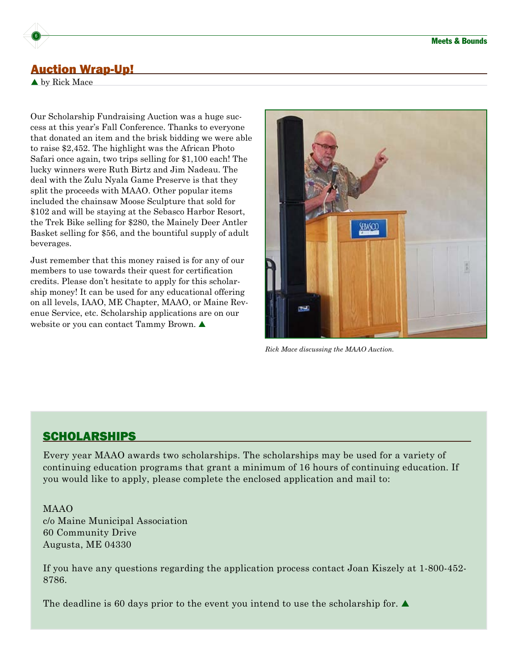#### Auction Wrap-Up!

▲ by Rick Mace

6

Our Scholarship Fundraising Auction was a huge success at this year's Fall Conference. Thanks to everyone that donated an item and the brisk bidding we were able to raise \$2,452. The highlight was the African Photo Safari once again, two trips selling for \$1,100 each! The lucky winners were Ruth Birtz and Jim Nadeau. The deal with the Zulu Nyala Game Preserve is that they split the proceeds with MAAO. Other popular items included the chainsaw Moose Sculpture that sold for \$102 and will be staying at the Sebasco Harbor Resort, the Trek Bike selling for \$280, the Mainely Deer Antler Basket selling for \$56, and the bountiful supply of adult beverages.

Just remember that this money raised is for any of our members to use towards their quest for certification credits. Please don't hesitate to apply for this scholarship money! It can be used for any educational offering on all levels, IAAO, ME Chapter, MAAO, or Maine Revenue Service, etc. Scholarship applications are on our website or you can contact Tammy Brown. **△** 



*Rick Mace discussing the MAAO Auction.*

#### **SCHOLARSHIPS**

Every year MAAO awards two scholarships. The scholarships may be used for a variety of continuing education programs that grant a minimum of 16 hours of continuing education. If you would like to apply, please complete the enclosed application and mail to:

MAAO c/o Maine Municipal Association 60 Community Drive Augusta, ME 04330

If you have any questions regarding the application process contact Joan Kiszely at 1-800-452- 8786.

The deadline is 60 days prior to the event you intend to use the scholarship for.  $\blacktriangle$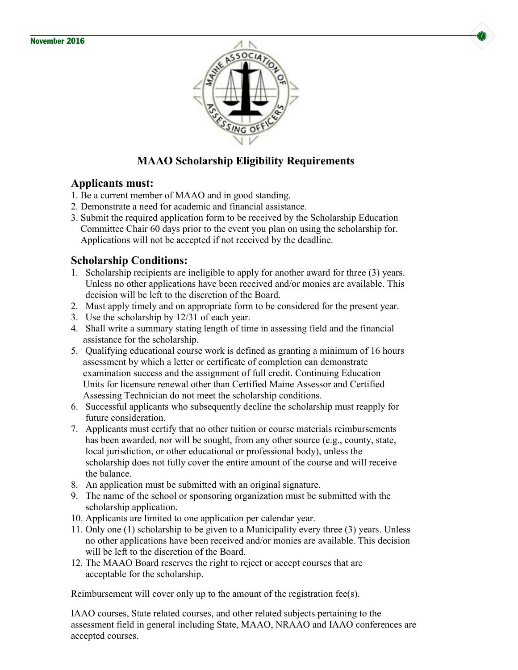



#### **MAAO Scholarship Eligibility Requirements**

#### **Applicants must:**

- 1. Be a current member of MAAO and in good standing.
- 2. Demonstrate a need for academic and financial assistance.
- 3. Submit the required application form to be received by the Scholarship Education Committee Chair 60 days prior to the event you plan on using the scholarship for. Applications will not be accepted if not received by the deadline.

#### **Scholarship Conditions:**

- 1. Scholarship recipients are ineligible to apply for another award for three (3) years. Unless no other applications have been received and/or monies are available. This decision will be left to the discretion of the Board.
- 2. Must apply timely and on appropriate form to be considered for the present year.
- 3. Use the scholarship by 12/31 of each year.
- 4. Shall write a summary stating length of time in assessing field and the financial assistance for the scholarship.
- 5. Qualifying educational course work is defined as granting a minimum of 16 hours assessment by which a letter or certificate of completion can demonstrate examination success and the assignment of full credit. Continuing Education Units for licensure renewal other than Certified Maine Assessor and Certified Assessing Technician do not meet the scholarship conditions.
- 6. Successful applicants who subsequently decline the scholarship must reapply for future consideration.
- 7. Applicants must certify that no other tuition or course materials reimbursements has been awarded, nor will be sought, from any other source (e.g., county, state, local jurisdiction, or other educational or professional body), unless the scholarship does not fully cover the entire amount of the course and will receive the balance.
- 8. An application must be submitted with an original signature.
- 9. The name of the school or sponsoring organization must be submitted with the scholarship application.
- 10. Applicants are limited to one application per calendar year.
- 11. Only one (1) scholarship to be given to a Municipality every three (3) years. Unless no other applications have been received and/or monies are available. This decision will be left to the discretion of the Board.
- 12. The MAAO Board reserves the right to reject or accept courses that are acceptable for the scholarship.

Reimbursement will cover only up to the amount of the registration fee(s).

IAAO courses, State related courses, and other related subjects pertaining to the assessment field in general including State, MAAO, NRAAO and IAAO conferences are accepted courses.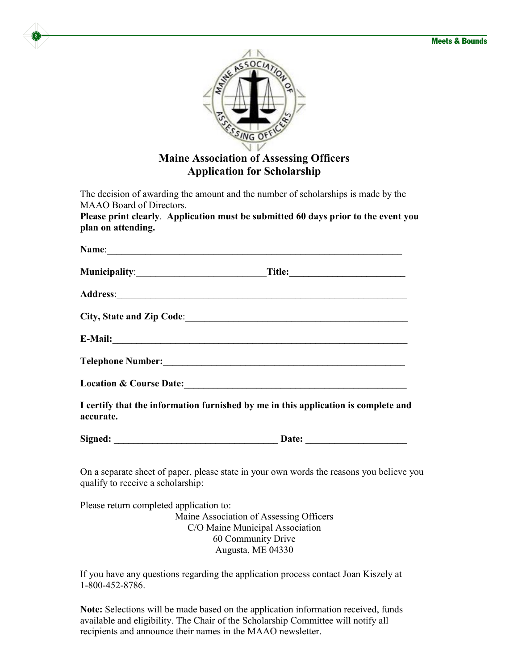

8

#### **Maine Association of Assessing Officers Application for Scholarship**

The decision of awarding the amount and the number of scholarships is made by the MAAO Board of Directors.

**Please print clearly**. **Application must be submitted 60 days prior to the event you plan on attending.**

|           | Name: Name: Name: Name: Name: Name: Name: Name: Name: Name: Name: Name: Name: Name: Name: Name: Name: Name: Name: Name: Name: Name: Name: Name: Name: Name: Name: Name: Name: Name: Name: Name: Name: Name: Name: Name: Name:  |
|-----------|--------------------------------------------------------------------------------------------------------------------------------------------------------------------------------------------------------------------------------|
|           |                                                                                                                                                                                                                                |
|           |                                                                                                                                                                                                                                |
|           |                                                                                                                                                                                                                                |
|           |                                                                                                                                                                                                                                |
|           |                                                                                                                                                                                                                                |
|           | Location & Course Date: Manual Course of the Course of the Course of the Course of the Course of the Course of the Course of the Course of the Course of the Course of the Course of the Course of the Course of the Course of |
| accurate. | I certify that the information furnished by me in this application is complete and                                                                                                                                             |
|           |                                                                                                                                                                                                                                |
|           | On a separate sheet of paper, please state in your own words the reasons you believe you                                                                                                                                       |

qualify to receive a scholarship:

Please return completed application to: Maine Association of Assessing Officers C/O Maine Municipal Association 60 Community Drive Augusta, ME 04330

If you have any questions regarding the application process contact Joan Kiszely at 1-800-452-8786.

**Note:** Selections will be made based on the application information received, funds available and eligibility. The Chair of the Scholarship Committee will notify all recipients and announce their names in the MAAO newsletter.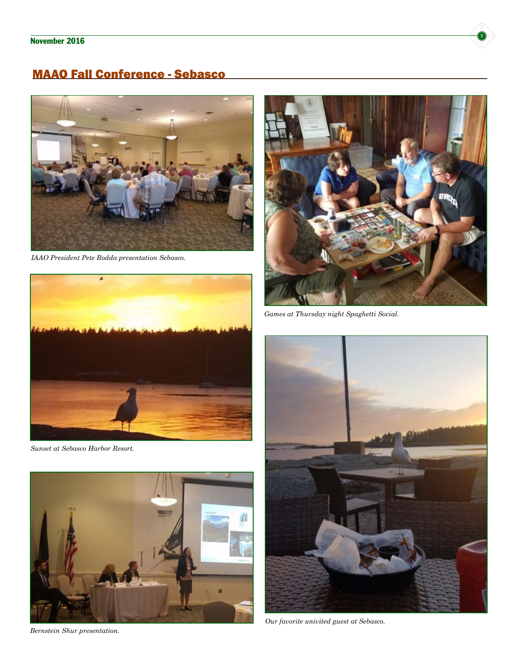## MAAO Fall Conference - Sebasco



*IAAO President Pete Rodda presentation Sebasco.*



*Sunset at Sebasco Harbor Resort.*



*Bernstein Shur presentation.*



*Games at Thursday night Spaghetti Social.*



*Our favorite univited guest at Sebasco.*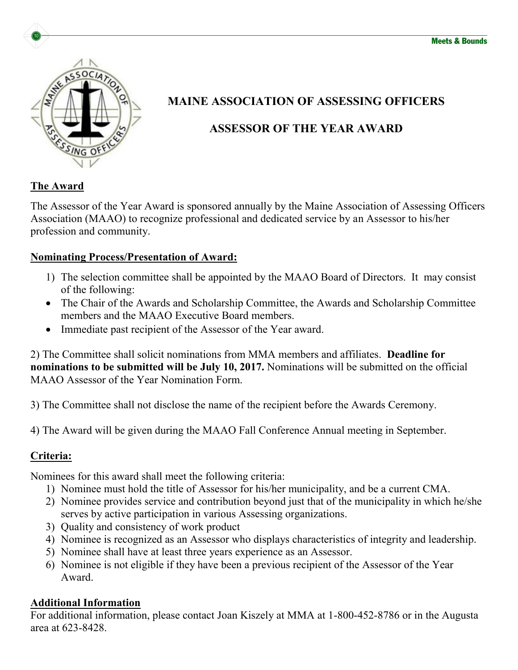

# **MAINE ASSOCIATION OF ASSESSING OFFICERS**

# **ASSESSOR OF THE YEAR AWARD**

## **The Award**

The Assessor of the Year Award is sponsored annually by the Maine Association of Assessing Officers Association (MAAO) to recognize professional and dedicated service by an Assessor to his/her profession and community.

#### **Nominating Process/Presentation of Award:**

- 1) The selection committee shall be appointed by the MAAO Board of Directors. It may consist of the following:
- The Chair of the Awards and Scholarship Committee, the Awards and Scholarship Committee members and the MAAO Executive Board members.
- Immediate past recipient of the Assessor of the Year award.

2) The Committee shall solicit nominations from MMA members and affiliates. **Deadline for nominations to be submitted will be July 10, 2017.** Nominations will be submitted on the official MAAO Assessor of the Year Nomination Form.

3) The Committee shall not disclose the name of the recipient before the Awards Ceremony.

4) The Award will be given during the MAAO Fall Conference Annual meeting in September.

## **Criteria:**

Nominees for this award shall meet the following criteria:

- 1) Nominee must hold the title of Assessor for his/her municipality, and be a current CMA.
- 2) Nominee provides service and contribution beyond just that of the municipality in which he/she serves by active participation in various Assessing organizations.
- 3) Quality and consistency of work product
- 4) Nominee is recognized as an Assessor who displays characteristics of integrity and leadership.
- 5) Nominee shall have at least three years experience as an Assessor.
- 6) Nominee is not eligible if they have been a previous recipient of the Assessor of the Year Award.

## **Additional Information**

For additional information, please contact Joan Kiszely at MMA at 1-800-452-8786 or in the Augusta area at 623-8428.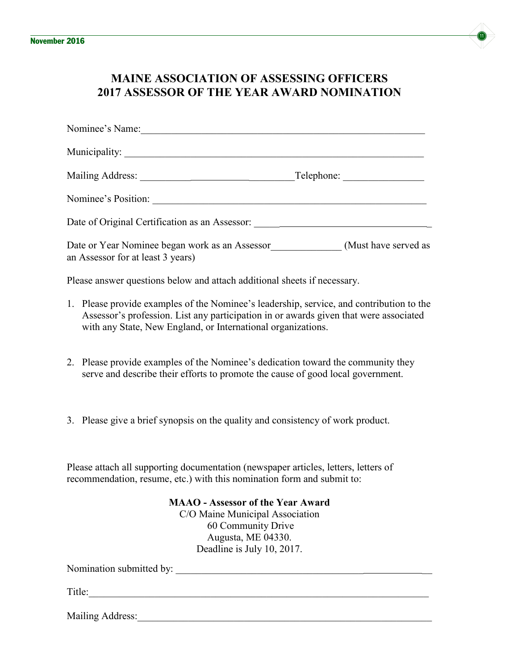

## **MAINE ASSOCIATION OF ASSESSING OFFICERS 2017 ASSESSOR OF THE YEAR AWARD NOMINATION**

| Nominee's Name:                                |                      |
|------------------------------------------------|----------------------|
|                                                |                      |
|                                                |                      |
| Nominee's Position:                            |                      |
| Date of Original Certification as an Assessor: |                      |
| Date or Year Nominee began work as an Assessor | (Must have served as |

an Assessor for at least 3 years)

Please answer questions below and attach additional sheets if necessary.

- 1. Please provide examples of the Nominee's leadership, service, and contribution to the Assessor's profession. List any participation in or awards given that were associated with any State, New England, or International organizations.
- 2. Please provide examples of the Nominee's dedication toward the community they serve and describe their efforts to promote the cause of good local government.
- 3. Please give a brief synopsis on the quality and consistency of work product.

Please attach all supporting documentation (newspaper articles, letters, letters of recommendation, resume, etc.) with this nomination form and submit to:

> **MAAO - Assessor of the Year Award** C/O Maine Municipal Association 60 Community Drive Augusta, ME 04330. Deadline is July 10, 2017.

Nomination submitted by: \_\_\_\_\_\_\_\_\_\_\_\_\_\_\_\_\_\_\_\_\_\_\_\_\_\_\_\_\_\_\_\_\_\_\_\_\_ \_\_

Title:\_\_\_\_\_\_\_\_\_\_\_\_\_\_\_\_\_\_\_\_\_\_\_\_\_\_\_\_\_\_\_\_\_\_\_\_\_\_\_\_\_\_\_\_\_\_\_\_\_\_\_\_\_\_\_\_\_\_\_\_\_\_\_\_\_\_\_

Mailing Address: